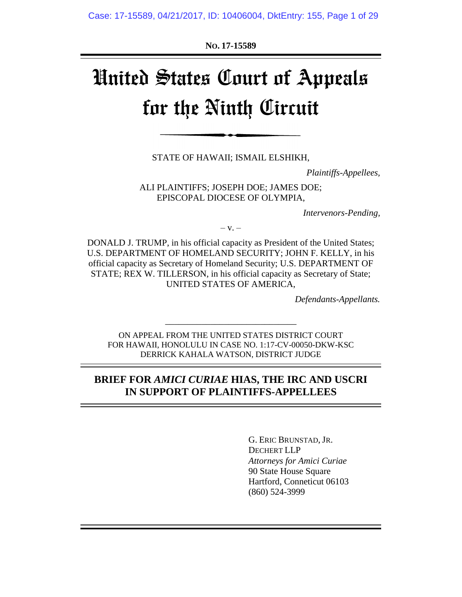**NO. 17-15589**

# United States Court of Appeals for the Ninth Circuit

STATE OF HAWAII; ISMAIL ELSHIKH,

*Plaintiffs-Appellees,* 

ALI PLAINTIFFS; JOSEPH DOE; JAMES DOE; EPISCOPAL DIOCESE OF OLYMPIA,

*Intervenors-Pending,* 

 $-V. -$ 

DONALD J. TRUMP, in his official capacity as President of the United States; U.S. DEPARTMENT OF HOMELAND SECURITY; JOHN F. KELLY, in his official capacity as Secretary of Homeland Security; U.S. DEPARTMENT OF STATE; REX W. TILLERSON, in his official capacity as Secretary of State; UNITED STATES OF AMERICA,

*Defendants-Appellants.*

ON APPEAL FROM THE UNITED STATES DISTRICT COURT FOR HAWAII, HONOLULU IN CASE NO. 1:17-CV-00050-DKW-KSC DERRICK KAHALA WATSON, DISTRICT JUDGE

\_\_\_\_\_\_\_\_\_\_\_\_\_\_\_\_\_\_\_\_\_\_\_\_\_\_\_\_\_

## **BRIEF FOR** *AMICI CURIAE* **HIAS, THE IRC AND USCRI IN SUPPORT OF PLAINTIFFS-APPELLEES**

G. ERIC BRUNSTAD, JR. DECHERT LLP *Attorneys for Amici Curiae* 90 State House Square Hartford, Conneticut 06103 (860) 524-3999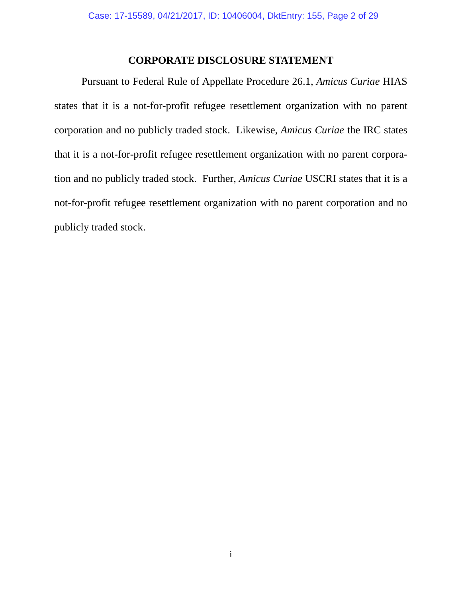## **CORPORATE DISCLOSURE STATEMENT**

Pursuant to Federal Rule of Appellate Procedure 26.1, *Amicus Curiae* HIAS states that it is a not-for-profit refugee resettlement organization with no parent corporation and no publicly traded stock. Likewise, *Amicus Curiae* the IRC states that it is a not-for-profit refugee resettlement organization with no parent corporation and no publicly traded stock. Further, *Amicus Curiae* USCRI states that it is a not-for-profit refugee resettlement organization with no parent corporation and no publicly traded stock.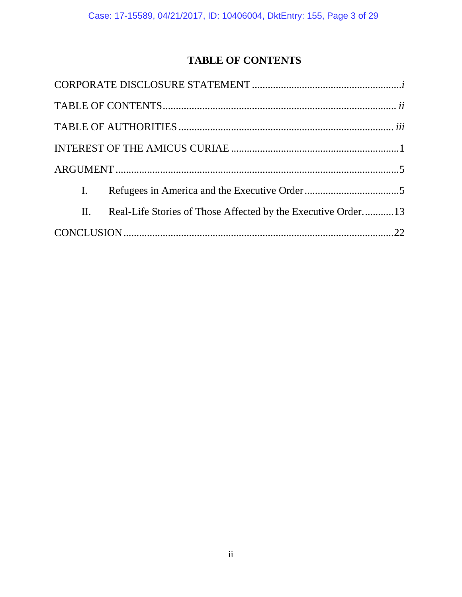# **TABLE OF CONTENTS**

| $\mathbf{I}$ . |                                                              |  |
|----------------|--------------------------------------------------------------|--|
| II.            | Real-Life Stories of Those Affected by the Executive Order13 |  |
|                |                                                              |  |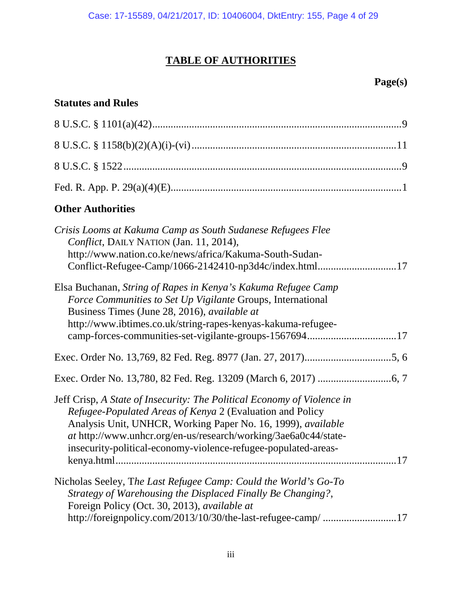# **TABLE OF AUTHORITIES**

# **Page(s)**

# **Statutes and Rules**

| <b>Other Authorities</b>                                                                                                                                                                                                                                                                                                                  |
|-------------------------------------------------------------------------------------------------------------------------------------------------------------------------------------------------------------------------------------------------------------------------------------------------------------------------------------------|
| Crisis Looms at Kakuma Camp as South Sudanese Refugees Flee<br>Conflict, DAILY NATION (Jan. 11, 2014),<br>http://www.nation.co.ke/news/africa/Kakuma-South-Sudan-                                                                                                                                                                         |
| Elsa Buchanan, String of Rapes in Kenya's Kakuma Refugee Camp<br>Force Communities to Set Up Vigilante Groups, International<br>Business Times (June 28, 2016), available at<br>http://www.ibtimes.co.uk/string-rapes-kenyas-kakuma-refugee-<br>camp-forces-communities-set-vigilante-groups-156769417                                    |
|                                                                                                                                                                                                                                                                                                                                           |
|                                                                                                                                                                                                                                                                                                                                           |
| Jeff Crisp, A State of Insecurity: The Political Economy of Violence in<br>Refugee-Populated Areas of Kenya 2 (Evaluation and Policy<br>Analysis Unit, UNHCR, Working Paper No. 16, 1999), available<br>at http://www.unhcr.org/en-us/research/working/3ae6a0c44/state-<br>insecurity-political-economy-violence-refugee-populated-areas- |
| Nicholas Seeley, The Last Refugee Camp: Could the World's Go-To<br>Strategy of Warehousing the Displaced Finally Be Changing?,<br>Foreign Policy (Oct. 30, 2013), available at<br>http://foreignpolicy.com/2013/10/30/the-last-refugee-camp/ 17                                                                                           |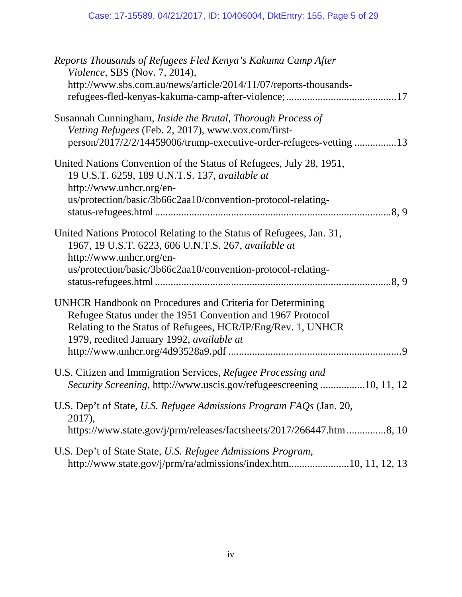| Reports Thousands of Refugees Fled Kenya's Kakuma Camp After<br><i>Violence</i> , SBS (Nov. 7, 2014),<br>http://www.sbs.com.au/news/article/2014/11/07/reports-thousands-                                                                   |
|---------------------------------------------------------------------------------------------------------------------------------------------------------------------------------------------------------------------------------------------|
| Susannah Cunningham, <i>Inside the Brutal</i> , <i>Thorough Process of</i><br>Vetting Refugees (Feb. 2, 2017), www.vox.com/first-<br>person/2017/2/2/14459006/trump-executive-order-refugees-vetting 13                                     |
| United Nations Convention of the Status of Refugees, July 28, 1951,<br>19 U.S.T. 6259, 189 U.N.T.S. 137, available at<br>http://www.unhcr.org/en-<br>us/protection/basic/3b66c2aa10/convention-protocol-relating-                           |
| United Nations Protocol Relating to the Status of Refugees, Jan. 31,<br>1967, 19 U.S.T. 6223, 606 U.N.T.S. 267, available at<br>http://www.unhcr.org/en-<br>us/protection/basic/3b66c2aa10/convention-protocol-relating-                    |
| <b>UNHCR Handbook on Procedures and Criteria for Determining</b><br>Refugee Status under the 1951 Convention and 1967 Protocol<br>Relating to the Status of Refugees, HCR/IP/Eng/Rev. 1, UNHCR<br>1979, reedited January 1992, available at |
| U.S. Citizen and Immigration Services, Refugee Processing and<br><i>Security Screening, http://www.uscis.gov/refugeescreening10, 11, 12</i>                                                                                                 |
| U.S. Dep't of State, U.S. Refugee Admissions Program FAQs (Jan. 20,<br>2017),<br>https://www.state.gov/j/prm/releases/factsheets/2017/266447.htm 8, 10                                                                                      |
| U.S. Dep't of State State, U.S. Refugee Admissions Program,<br>http://www.state.gov/j/prm/ra/admissions/index.htm10, 11, 12, 13                                                                                                             |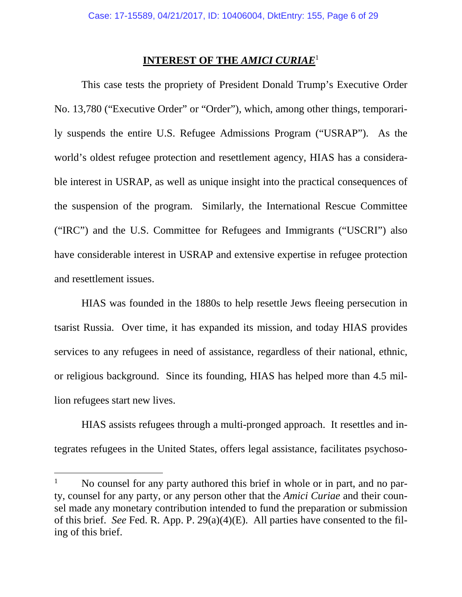## **INTEREST OF THE** *AMICI CURIAE*<sup>1</sup>

This case tests the propriety of President Donald Trump's Executive Order No. 13,780 ("Executive Order" or "Order"), which, among other things, temporarily suspends the entire U.S. Refugee Admissions Program ("USRAP"). As the world's oldest refugee protection and resettlement agency, HIAS has a considerable interest in USRAP, as well as unique insight into the practical consequences of the suspension of the program. Similarly, the International Rescue Committee ("IRC") and the U.S. Committee for Refugees and Immigrants ("USCRI") also have considerable interest in USRAP and extensive expertise in refugee protection and resettlement issues.

HIAS was founded in the 1880s to help resettle Jews fleeing persecution in tsarist Russia. Over time, it has expanded its mission, and today HIAS provides services to any refugees in need of assistance, regardless of their national, ethnic, or religious background. Since its founding, HIAS has helped more than 4.5 million refugees start new lives.

HIAS assists refugees through a multi-pronged approach. It resettles and integrates refugees in the United States, offers legal assistance, facilitates psychoso-

<sup>&</sup>lt;sup>1</sup> No counsel for any party authored this brief in whole or in part, and no party, counsel for any party, or any person other that the *Amici Curiae* and their counsel made any monetary contribution intended to fund the preparation or submission of this brief. *See* Fed. R. App. P. 29(a)(4)(E). All parties have consented to the filing of this brief.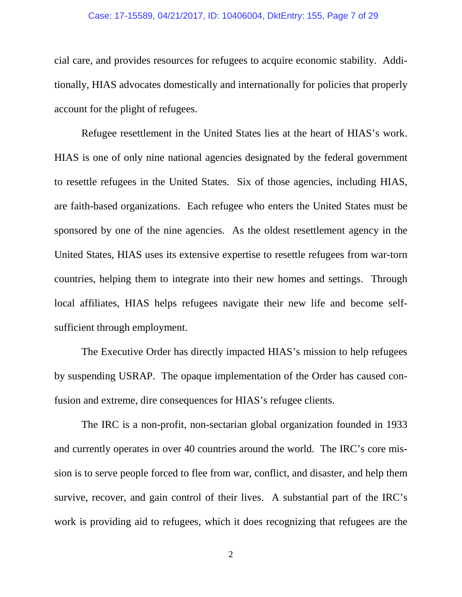#### Case: 17-15589, 04/21/2017, ID: 10406004, DktEntry: 155, Page 7 of 29

cial care, and provides resources for refugees to acquire economic stability. Additionally, HIAS advocates domestically and internationally for policies that properly account for the plight of refugees.

Refugee resettlement in the United States lies at the heart of HIAS's work. HIAS is one of only nine national agencies designated by the federal government to resettle refugees in the United States. Six of those agencies, including HIAS, are faith-based organizations. Each refugee who enters the United States must be sponsored by one of the nine agencies. As the oldest resettlement agency in the United States, HIAS uses its extensive expertise to resettle refugees from war-torn countries, helping them to integrate into their new homes and settings. Through local affiliates, HIAS helps refugees navigate their new life and become selfsufficient through employment.

The Executive Order has directly impacted HIAS's mission to help refugees by suspending USRAP. The opaque implementation of the Order has caused confusion and extreme, dire consequences for HIAS's refugee clients.

The IRC is a non-profit, non-sectarian global organization founded in 1933 and currently operates in over 40 countries around the world. The IRC's core mission is to serve people forced to flee from war, conflict, and disaster, and help them survive, recover, and gain control of their lives. A substantial part of the IRC's work is providing aid to refugees, which it does recognizing that refugees are the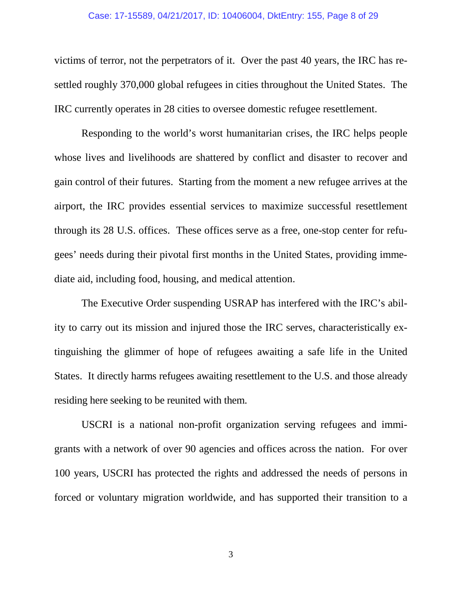#### Case: 17-15589, 04/21/2017, ID: 10406004, DktEntry: 155, Page 8 of 29

victims of terror, not the perpetrators of it. Over the past 40 years, the IRC has resettled roughly 370,000 global refugees in cities throughout the United States. The IRC currently operates in 28 cities to oversee domestic refugee resettlement.

Responding to the world's worst humanitarian crises, the IRC helps people whose lives and livelihoods are shattered by conflict and disaster to recover and gain control of their futures. Starting from the moment a new refugee arrives at the airport, the IRC provides essential services to maximize successful resettlement through its 28 U.S. offices. These offices serve as a free, one-stop center for refugees' needs during their pivotal first months in the United States, providing immediate aid, including food, housing, and medical attention.

The Executive Order suspending USRAP has interfered with the IRC's ability to carry out its mission and injured those the IRC serves, characteristically extinguishing the glimmer of hope of refugees awaiting a safe life in the United States. It directly harms refugees awaiting resettlement to the U.S. and those already residing here seeking to be reunited with them.

USCRI is a national non-profit organization serving refugees and immigrants with a network of over 90 agencies and offices across the nation. For over 100 years, USCRI has protected the rights and addressed the needs of persons in forced or voluntary migration worldwide, and has supported their transition to a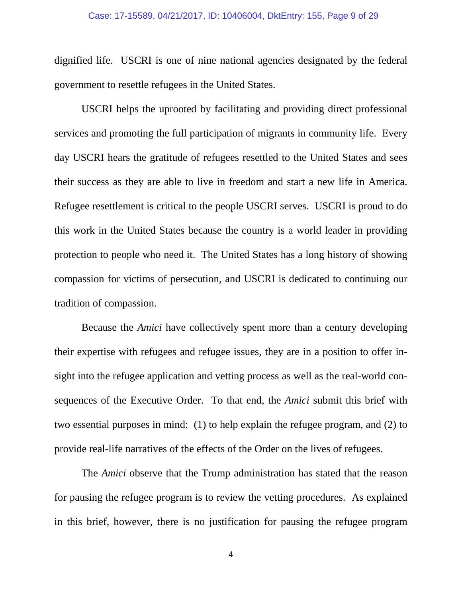#### Case: 17-15589, 04/21/2017, ID: 10406004, DktEntry: 155, Page 9 of 29

dignified life. USCRI is one of nine national agencies designated by the federal government to resettle refugees in the United States.

USCRI helps the uprooted by facilitating and providing direct professional services and promoting the full participation of migrants in community life. Every day USCRI hears the gratitude of refugees resettled to the United States and sees their success as they are able to live in freedom and start a new life in America. Refugee resettlement is critical to the people USCRI serves. USCRI is proud to do this work in the United States because the country is a world leader in providing protection to people who need it. The United States has a long history of showing compassion for victims of persecution, and USCRI is dedicated to continuing our tradition of compassion.

Because the *Amici* have collectively spent more than a century developing their expertise with refugees and refugee issues, they are in a position to offer insight into the refugee application and vetting process as well as the real-world consequences of the Executive Order. To that end, the *Amici* submit this brief with two essential purposes in mind: (1) to help explain the refugee program, and (2) to provide real-life narratives of the effects of the Order on the lives of refugees.

The *Amici* observe that the Trump administration has stated that the reason for pausing the refugee program is to review the vetting procedures. As explained in this brief, however, there is no justification for pausing the refugee program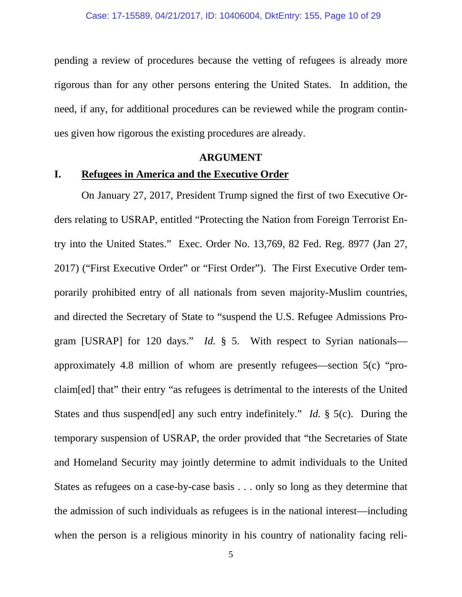pending a review of procedures because the vetting of refugees is already more rigorous than for any other persons entering the United States. In addition, the need, if any, for additional procedures can be reviewed while the program continues given how rigorous the existing procedures are already.

#### **ARGUMENT**

### **I. Refugees in America and the Executive Order**

On January 27, 2017, President Trump signed the first of two Executive Orders relating to USRAP, entitled "Protecting the Nation from Foreign Terrorist Entry into the United States." Exec. Order No. 13,769, 82 Fed. Reg. 8977 (Jan 27, 2017) ("First Executive Order" or "First Order"). The First Executive Order temporarily prohibited entry of all nationals from seven majority-Muslim countries, and directed the Secretary of State to "suspend the U.S. Refugee Admissions Program [USRAP] for 120 days." *Id.* § 5. With respect to Syrian nationals approximately 4.8 million of whom are presently refugees—section 5(c) "proclaim[ed] that" their entry "as refugees is detrimental to the interests of the United States and thus suspend[ed] any such entry indefinitely." *Id.* § 5(c). During the temporary suspension of USRAP, the order provided that "the Secretaries of State and Homeland Security may jointly determine to admit individuals to the United States as refugees on a case-by-case basis . . . only so long as they determine that the admission of such individuals as refugees is in the national interest—including when the person is a religious minority in his country of nationality facing reli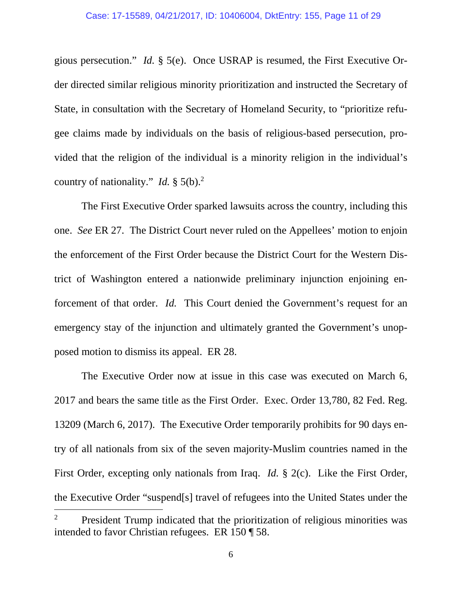gious persecution." *Id.* § 5(e). Once USRAP is resumed, the First Executive Order directed similar religious minority prioritization and instructed the Secretary of State, in consultation with the Secretary of Homeland Security, to "prioritize refugee claims made by individuals on the basis of religious-based persecution, provided that the religion of the individual is a minority religion in the individual's country of nationality." *Id.*  $\S$  5(b).<sup>2</sup>

The First Executive Order sparked lawsuits across the country, including this one. *See* ER 27. The District Court never ruled on the Appellees' motion to enjoin the enforcement of the First Order because the District Court for the Western District of Washington entered a nationwide preliminary injunction enjoining enforcement of that order. *Id.* This Court denied the Government's request for an emergency stay of the injunction and ultimately granted the Government's unopposed motion to dismiss its appeal. ER 28.

The Executive Order now at issue in this case was executed on March 6, 2017 and bears the same title as the First Order. Exec. Order 13,780, 82 Fed. Reg. 13209 (March 6, 2017). The Executive Order temporarily prohibits for 90 days entry of all nationals from six of the seven majority-Muslim countries named in the First Order, excepting only nationals from Iraq. *Id.* § 2(c). Like the First Order, the Executive Order "suspend[s] travel of refugees into the United States under the

<sup>2</sup> President Trump indicated that the prioritization of religious minorities was intended to favor Christian refugees. ER 150 ¶ 58.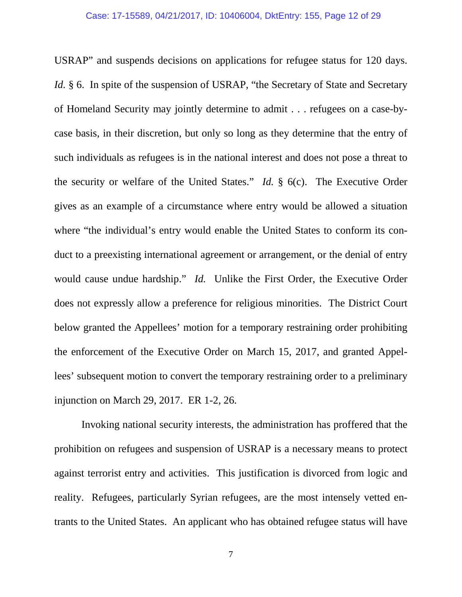USRAP" and suspends decisions on applications for refugee status for 120 days. *Id.* § 6. In spite of the suspension of USRAP, "the Secretary of State and Secretary of Homeland Security may jointly determine to admit . . . refugees on a case-bycase basis, in their discretion, but only so long as they determine that the entry of such individuals as refugees is in the national interest and does not pose a threat to the security or welfare of the United States." *Id.* § 6(c). The Executive Order gives as an example of a circumstance where entry would be allowed a situation where "the individual's entry would enable the United States to conform its conduct to a preexisting international agreement or arrangement, or the denial of entry would cause undue hardship." *Id.* Unlike the First Order, the Executive Order does not expressly allow a preference for religious minorities. The District Court below granted the Appellees' motion for a temporary restraining order prohibiting the enforcement of the Executive Order on March 15, 2017, and granted Appellees' subsequent motion to convert the temporary restraining order to a preliminary injunction on March 29, 2017. ER 1-2, 26.

Invoking national security interests, the administration has proffered that the prohibition on refugees and suspension of USRAP is a necessary means to protect against terrorist entry and activities. This justification is divorced from logic and reality. Refugees, particularly Syrian refugees, are the most intensely vetted entrants to the United States. An applicant who has obtained refugee status will have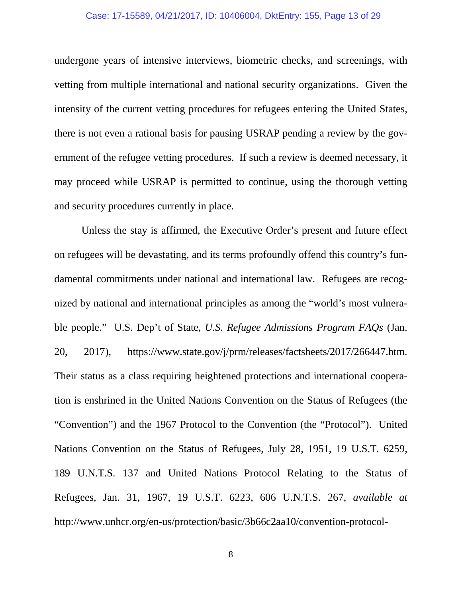#### Case: 17-15589, 04/21/2017, ID: 10406004, DktEntry: 155, Page 13 of 29

undergone years of intensive interviews, biometric checks, and screenings, with vetting from multiple international and national security organizations. Given the intensity of the current vetting procedures for refugees entering the United States, there is not even a rational basis for pausing USRAP pending a review by the government of the refugee vetting procedures. If such a review is deemed necessary, it may proceed while USRAP is permitted to continue, using the thorough vetting and security procedures currently in place.

Unless the stay is affirmed, the Executive Order's present and future effect on refugees will be devastating, and its terms profoundly offend this country's fundamental commitments under national and international law. Refugees are recognized by national and international principles as among the "world's most vulnerable people." U.S. Dep't of State, *U.S. Refugee Admissions Program FAQs* (Jan. 20, 2017), https://www.state.gov/j/prm/releases/factsheets/2017/266447.htm. Their status as a class requiring heightened protections and international cooperation is enshrined in the United Nations Convention on the Status of Refugees (the "Convention") and the 1967 Protocol to the Convention (the "Protocol"). United Nations Convention on the Status of Refugees, July 28, 1951, 19 U.S.T. 6259, 189 U.N.T.S. 137 and United Nations Protocol Relating to the Status of Refugees, Jan. 31, 1967, 19 U.S.T. 6223, 606 U.N.T.S. 267, *available at* http://www.unhcr.org/en-us/protection/basic/3b66c2aa10/convention-protocol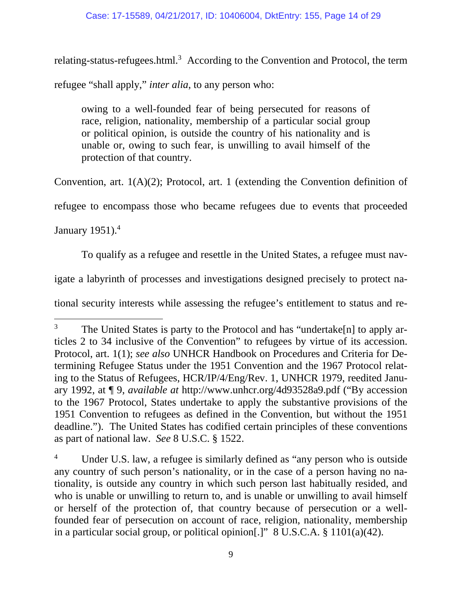relating-status-refugees.html.<sup>3</sup> According to the Convention and Protocol, the term

refugee "shall apply," *inter alia*, to any person who:

owing to a well-founded fear of being persecuted for reasons of race, religion, nationality, membership of a particular social group or political opinion, is outside the country of his nationality and is unable or, owing to such fear, is unwilling to avail himself of the protection of that country.

Convention, art. 1(A)(2); Protocol, art. 1 (extending the Convention definition of

refugee to encompass those who became refugees due to events that proceeded

January  $1951$ <sup>4</sup>

To qualify as a refugee and resettle in the United States, a refugee must nav-

igate a labyrinth of processes and investigations designed precisely to protect na-

tional security interests while assessing the refugee's entitlement to status and re-

<sup>&</sup>lt;sup>3</sup> The United States is party to the Protocol and has "undertake[n] to apply articles 2 to 34 inclusive of the Convention" to refugees by virtue of its accession. Protocol, art. 1(1); *see also* UNHCR Handbook on Procedures and Criteria for Determining Refugee Status under the 1951 Convention and the 1967 Protocol relating to the Status of Refugees, HCR/IP/4/Eng/Rev. 1, UNHCR 1979, reedited January 1992, at ¶ 9, *available at* http://www.unhcr.org/4d93528a9.pdf ("By accession to the 1967 Protocol, States undertake to apply the substantive provisions of the 1951 Convention to refugees as defined in the Convention, but without the 1951 deadline."). The United States has codified certain principles of these conventions as part of national law. *See* 8 U.S.C. § 1522.

Under U.S. law, a refugee is similarly defined as "any person who is outside any country of such person's nationality, or in the case of a person having no nationality, is outside any country in which such person last habitually resided, and who is unable or unwilling to return to, and is unable or unwilling to avail himself or herself of the protection of, that country because of persecution or a wellfounded fear of persecution on account of race, religion, nationality, membership in a particular social group, or political opinion[.]" 8 U.S.C.A. § 1101(a)(42).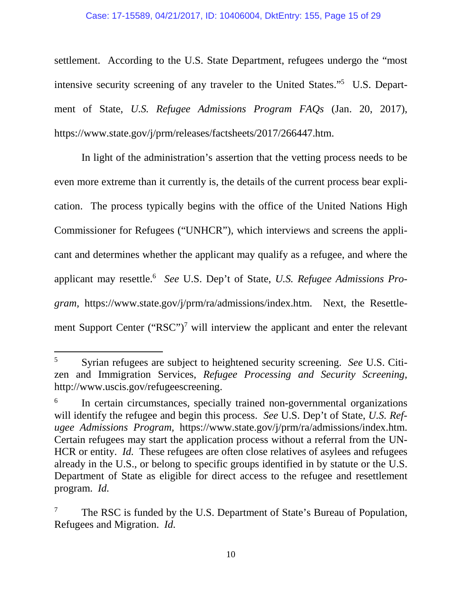settlement. According to the U.S. State Department, refugees undergo the "most intensive security screening of any traveler to the United States."<sup>5</sup> U.S. Department of State, *U.S. Refugee Admissions Program FAQs* (Jan. 20, 2017), https://www.state.gov/j/prm/releases/factsheets/2017/266447.htm.

In light of the administration's assertion that the vetting process needs to be even more extreme than it currently is, the details of the current process bear explication. The process typically begins with the office of the United Nations High Commissioner for Refugees ("UNHCR"), which interviews and screens the applicant and determines whether the applicant may qualify as a refugee, and where the applicant may resettle.<sup>6</sup> *See* U.S. Dep't of State, *U.S. Refugee Admissions Program,* https://www.state.gov/j/prm/ra/admissions/index.htm. Next, the Resettlement Support Center (" $RSC$ ")<sup>7</sup> will interview the applicant and enter the relevant

<sup>5</sup> Syrian refugees are subject to heightened security screening. *See* U.S. Citizen and Immigration Services, *Refugee Processing and Security Screening*, http://www.uscis.gov/refugeescreening.

<sup>6</sup> In certain circumstances, specially trained non-governmental organizations will identify the refugee and begin this process. *See* U.S. Dep't of State, *U.S. Refugee Admissions Program,* https://www.state.gov/j/prm/ra/admissions/index.htm. Certain refugees may start the application process without a referral from the UN-HCR or entity. *Id.* These refugees are often close relatives of asylees and refugees already in the U.S., or belong to specific groups identified in by statute or the U.S. Department of State as eligible for direct access to the refugee and resettlement program. *Id.* 

The RSC is funded by the U.S. Department of State's Bureau of Population, Refugees and Migration. *Id.*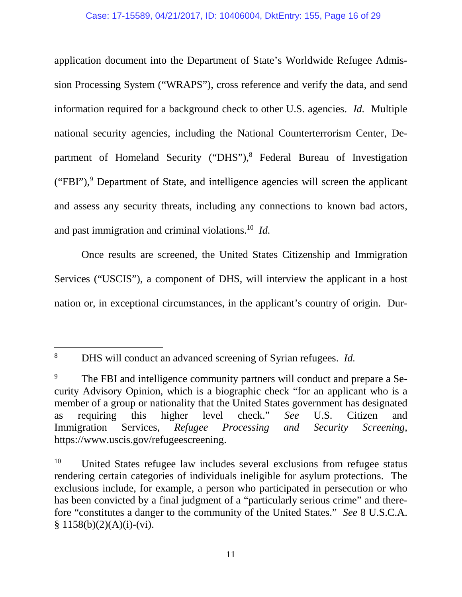application document into the Department of State's Worldwide Refugee Admission Processing System ("WRAPS"), cross reference and verify the data, and send information required for a background check to other U.S. agencies. *Id.* Multiple national security agencies, including the National Counterterrorism Center, Department of Homeland Security ("DHS"),<sup>8</sup> Federal Bureau of Investigation ("FBI"),<sup>9</sup> Department of State, and intelligence agencies will screen the applicant and assess any security threats, including any connections to known bad actors, and past immigration and criminal violations.<sup>10</sup> *Id.* 

Once results are screened, the United States Citizenship and Immigration Services ("USCIS"), a component of DHS, will interview the applicant in a host nation or, in exceptional circumstances, in the applicant's country of origin. Dur-

<sup>8</sup> DHS will conduct an advanced screening of Syrian refugees. *Id.* 

<sup>&</sup>lt;sup>9</sup> The FBI and intelligence community partners will conduct and prepare a Security Advisory Opinion, which is a biographic check "for an applicant who is a member of a group or nationality that the United States government has designated as requiring this higher level check." *See* U.S. Citizen and Immigration Services, *Refugee Processing and Security Screening,* https://www.uscis.gov/refugeescreening.

<sup>&</sup>lt;sup>10</sup> United States refugee law includes several exclusions from refugee status rendering certain categories of individuals ineligible for asylum protections. The exclusions include, for example, a person who participated in persecution or who has been convicted by a final judgment of a "particularly serious crime" and therefore "constitutes a danger to the community of the United States." *See* 8 U.S.C.A.  $$ 1158(b)(2)(A)(i)-(vi).$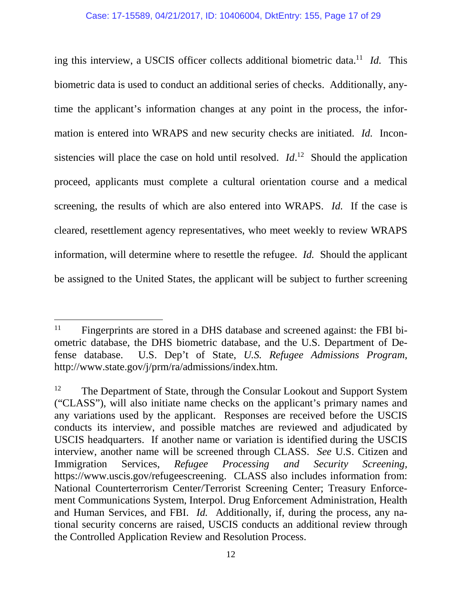ing this interview, a USCIS officer collects additional biometric data.<sup>11</sup> *Id.* This biometric data is used to conduct an additional series of checks. Additionally, anytime the applicant's information changes at any point in the process, the information is entered into WRAPS and new security checks are initiated. *Id.* Inconsistencies will place the case on hold until resolved.  $Id<sup>12</sup>$  Should the application proceed, applicants must complete a cultural orientation course and a medical screening, the results of which are also entered into WRAPS. *Id.* If the case is cleared, resettlement agency representatives, who meet weekly to review WRAPS information, will determine where to resettle the refugee. *Id.* Should the applicant be assigned to the United States, the applicant will be subject to further screening

<sup>&</sup>lt;sup>11</sup> Fingerprints are stored in a DHS database and screened against: the FBI biometric database, the DHS biometric database, and the U.S. Department of Defense database. U.S. Dep't of State, *U.S. Refugee Admissions Program*, http://www.state.gov/j/prm/ra/admissions/index.htm.

<sup>&</sup>lt;sup>12</sup> The Department of State, through the Consular Lookout and Support System ("CLASS"), will also initiate name checks on the applicant's primary names and any variations used by the applicant. Responses are received before the USCIS conducts its interview, and possible matches are reviewed and adjudicated by USCIS headquarters. If another name or variation is identified during the USCIS interview, another name will be screened through CLASS. *See* U.S. Citizen and Immigration Services, *Refugee Processing and Security Screening,* https://www.uscis.gov/refugeescreening. CLASS also includes information from: National Counterterrorism Center/Terrorist Screening Center; Treasury Enforcement Communications System, Interpol. Drug Enforcement Administration, Health and Human Services, and FBI. *Id.* Additionally, if, during the process, any national security concerns are raised, USCIS conducts an additional review through the Controlled Application Review and Resolution Process.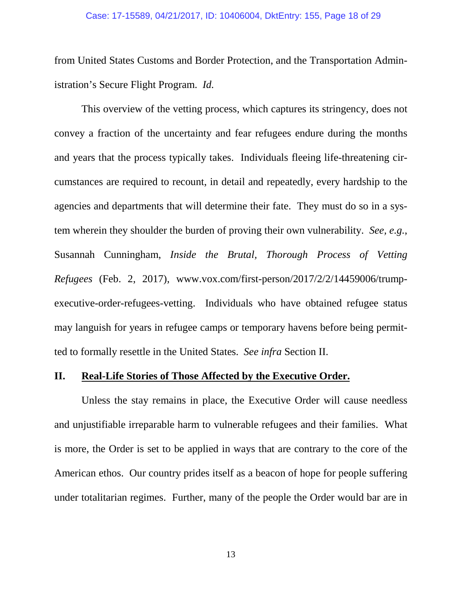from United States Customs and Border Protection, and the Transportation Administration's Secure Flight Program. *Id.*

This overview of the vetting process, which captures its stringency, does not convey a fraction of the uncertainty and fear refugees endure during the months and years that the process typically takes. Individuals fleeing life-threatening circumstances are required to recount, in detail and repeatedly, every hardship to the agencies and departments that will determine their fate. They must do so in a system wherein they shoulder the burden of proving their own vulnerability. *See, e.g.*, Susannah Cunningham, *Inside the Brutal, Thorough Process of Vetting Refugees* (Feb. 2, 2017), www.vox.com/first-person/2017/2/2/14459006/trumpexecutive-order-refugees-vetting. Individuals who have obtained refugee status may languish for years in refugee camps or temporary havens before being permitted to formally resettle in the United States. *See infra* Section II.

## **II. Real-Life Stories of Those Affected by the Executive Order.**

Unless the stay remains in place, the Executive Order will cause needless and unjustifiable irreparable harm to vulnerable refugees and their families. What is more, the Order is set to be applied in ways that are contrary to the core of the American ethos. Our country prides itself as a beacon of hope for people suffering under totalitarian regimes. Further, many of the people the Order would bar are in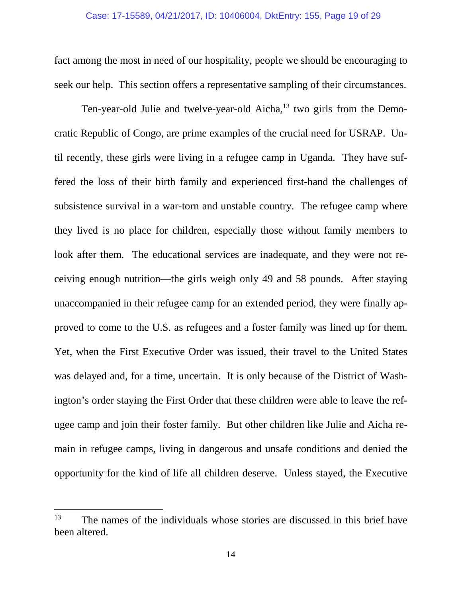fact among the most in need of our hospitality, people we should be encouraging to seek our help. This section offers a representative sampling of their circumstances.

Ten-year-old Julie and twelve-year-old Aicha,<sup>13</sup> two girls from the Democratic Republic of Congo, are prime examples of the crucial need for USRAP. Until recently, these girls were living in a refugee camp in Uganda. They have suffered the loss of their birth family and experienced first-hand the challenges of subsistence survival in a war-torn and unstable country. The refugee camp where they lived is no place for children, especially those without family members to look after them. The educational services are inadequate, and they were not receiving enough nutrition—the girls weigh only 49 and 58 pounds. After staying unaccompanied in their refugee camp for an extended period, they were finally approved to come to the U.S. as refugees and a foster family was lined up for them. Yet, when the First Executive Order was issued, their travel to the United States was delayed and, for a time, uncertain. It is only because of the District of Washington's order staying the First Order that these children were able to leave the refugee camp and join their foster family. But other children like Julie and Aicha remain in refugee camps, living in dangerous and unsafe conditions and denied the opportunity for the kind of life all children deserve. Unless stayed, the Executive

<sup>&</sup>lt;sup>13</sup> The names of the individuals whose stories are discussed in this brief have been altered.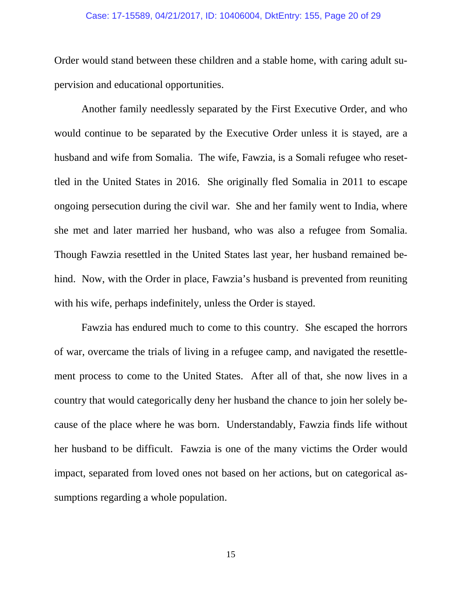#### Case: 17-15589, 04/21/2017, ID: 10406004, DktEntry: 155, Page 20 of 29

Order would stand between these children and a stable home, with caring adult supervision and educational opportunities.

Another family needlessly separated by the First Executive Order, and who would continue to be separated by the Executive Order unless it is stayed, are a husband and wife from Somalia. The wife, Fawzia, is a Somali refugee who resettled in the United States in 2016. She originally fled Somalia in 2011 to escape ongoing persecution during the civil war. She and her family went to India, where she met and later married her husband, who was also a refugee from Somalia. Though Fawzia resettled in the United States last year, her husband remained behind. Now, with the Order in place, Fawzia's husband is prevented from reuniting with his wife, perhaps indefinitely, unless the Order is stayed.

Fawzia has endured much to come to this country. She escaped the horrors of war, overcame the trials of living in a refugee camp, and navigated the resettlement process to come to the United States. After all of that, she now lives in a country that would categorically deny her husband the chance to join her solely because of the place where he was born. Understandably, Fawzia finds life without her husband to be difficult. Fawzia is one of the many victims the Order would impact, separated from loved ones not based on her actions, but on categorical assumptions regarding a whole population.

15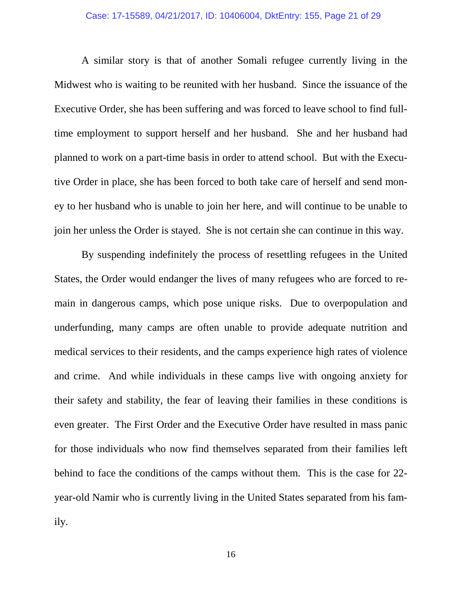A similar story is that of another Somali refugee currently living in the Midwest who is waiting to be reunited with her husband. Since the issuance of the Executive Order, she has been suffering and was forced to leave school to find fulltime employment to support herself and her husband. She and her husband had planned to work on a part-time basis in order to attend school. But with the Executive Order in place, she has been forced to both take care of herself and send money to her husband who is unable to join her here, and will continue to be unable to join her unless the Order is stayed. She is not certain she can continue in this way.

By suspending indefinitely the process of resettling refugees in the United States, the Order would endanger the lives of many refugees who are forced to remain in dangerous camps, which pose unique risks. Due to overpopulation and underfunding, many camps are often unable to provide adequate nutrition and medical services to their residents, and the camps experience high rates of violence and crime. And while individuals in these camps live with ongoing anxiety for their safety and stability, the fear of leaving their families in these conditions is even greater. The First Order and the Executive Order have resulted in mass panic for those individuals who now find themselves separated from their families left behind to face the conditions of the camps without them. This is the case for 22 year-old Namir who is currently living in the United States separated from his family.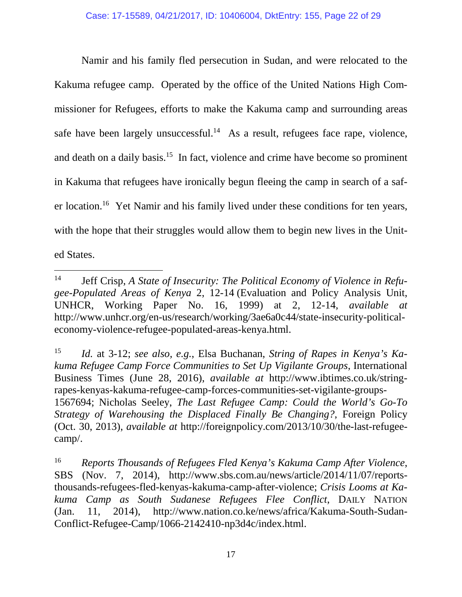Namir and his family fled persecution in Sudan, and were relocated to the Kakuma refugee camp. Operated by the office of the United Nations High Commissioner for Refugees, efforts to make the Kakuma camp and surrounding areas safe have been largely unsuccessful.<sup>14</sup> As a result, refugees face rape, violence, and death on a daily basis.<sup>15</sup> In fact, violence and crime have become so prominent in Kakuma that refugees have ironically begun fleeing the camp in search of a safer location.<sup>16</sup> Yet Namir and his family lived under these conditions for ten years, with the hope that their struggles would allow them to begin new lives in the United States.

<sup>14</sup> Jeff Crisp, *A State of Insecurity: The Political Economy of Violence in Refugee-Populated Areas of Kenya* 2, 12-14 (Evaluation and Policy Analysis Unit, UNHCR, Working Paper No. 16, 1999) at 2, 12-14, *available at* http://www.unhcr.org/en-us/research/working/3ae6a0c44/state-insecurity-politicaleconomy-violence-refugee-populated-areas-kenya.html.

<sup>15</sup> *Id.* at 3-12; *see also, e.g.*, Elsa Buchanan, *String of Rapes in Kenya's Kakuma Refugee Camp Force Communities to Set Up Vigilante Groups*, International Business Times (June 28, 2016), *available at* http://www.ibtimes.co.uk/stringrapes-kenyas-kakuma-refugee-camp-forces-communities-set-vigilante-groups-1567694; Nicholas Seeley, *The Last Refugee Camp: Could the World's Go-To Strategy of Warehousing the Displaced Finally Be Changing?*, Foreign Policy (Oct. 30, 2013), *available at* http://foreignpolicy.com/2013/10/30/the-last-refugeecamp/.

<sup>16</sup> *Reports Thousands of Refugees Fled Kenya's Kakuma Camp After Violence*, SBS (Nov. 7, 2014), http://www.sbs.com.au/news/article/2014/11/07/reportsthousands-refugees-fled-kenyas-kakuma-camp-after-violence; *Crisis Looms at Kakuma Camp as South Sudanese Refugees Flee Conflict*, DAILY NATION (Jan. 11, 2014), http://www.nation.co.ke/news/africa/Kakuma-South-Sudan-Conflict-Refugee-Camp/1066-2142410-np3d4c/index.html.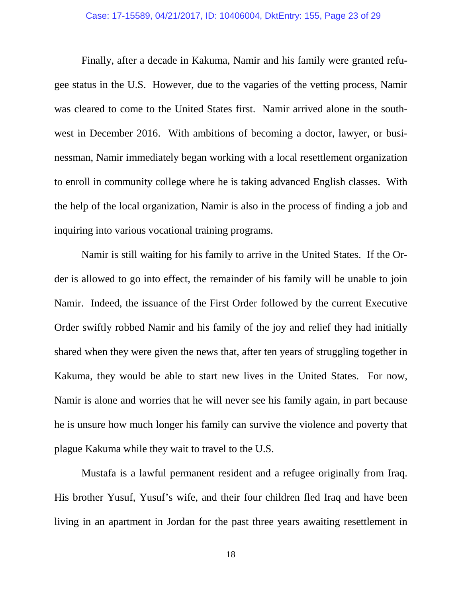Finally, after a decade in Kakuma, Namir and his family were granted refugee status in the U.S. However, due to the vagaries of the vetting process, Namir was cleared to come to the United States first. Namir arrived alone in the southwest in December 2016. With ambitions of becoming a doctor, lawyer, or businessman, Namir immediately began working with a local resettlement organization to enroll in community college where he is taking advanced English classes. With the help of the local organization, Namir is also in the process of finding a job and inquiring into various vocational training programs.

Namir is still waiting for his family to arrive in the United States. If the Order is allowed to go into effect, the remainder of his family will be unable to join Namir. Indeed, the issuance of the First Order followed by the current Executive Order swiftly robbed Namir and his family of the joy and relief they had initially shared when they were given the news that, after ten years of struggling together in Kakuma, they would be able to start new lives in the United States. For now, Namir is alone and worries that he will never see his family again, in part because he is unsure how much longer his family can survive the violence and poverty that plague Kakuma while they wait to travel to the U.S.

Mustafa is a lawful permanent resident and a refugee originally from Iraq. His brother Yusuf, Yusuf's wife, and their four children fled Iraq and have been living in an apartment in Jordan for the past three years awaiting resettlement in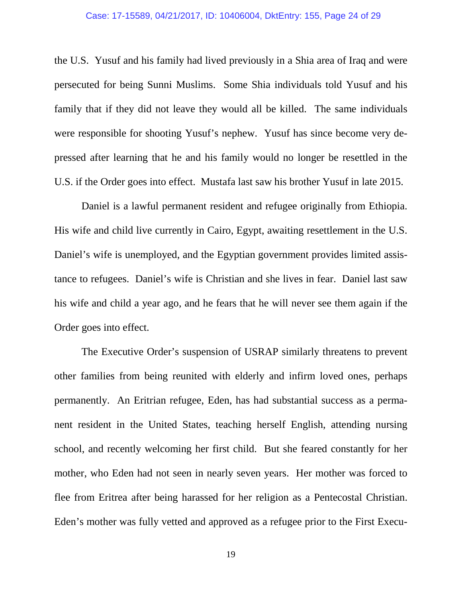#### Case: 17-15589, 04/21/2017, ID: 10406004, DktEntry: 155, Page 24 of 29

the U.S. Yusuf and his family had lived previously in a Shia area of Iraq and were persecuted for being Sunni Muslims. Some Shia individuals told Yusuf and his family that if they did not leave they would all be killed. The same individuals were responsible for shooting Yusuf's nephew. Yusuf has since become very depressed after learning that he and his family would no longer be resettled in the U.S. if the Order goes into effect. Mustafa last saw his brother Yusuf in late 2015.

Daniel is a lawful permanent resident and refugee originally from Ethiopia. His wife and child live currently in Cairo, Egypt, awaiting resettlement in the U.S. Daniel's wife is unemployed, and the Egyptian government provides limited assistance to refugees. Daniel's wife is Christian and she lives in fear. Daniel last saw his wife and child a year ago, and he fears that he will never see them again if the Order goes into effect.

The Executive Order's suspension of USRAP similarly threatens to prevent other families from being reunited with elderly and infirm loved ones, perhaps permanently. An Eritrian refugee, Eden, has had substantial success as a permanent resident in the United States, teaching herself English, attending nursing school, and recently welcoming her first child. But she feared constantly for her mother, who Eden had not seen in nearly seven years. Her mother was forced to flee from Eritrea after being harassed for her religion as a Pentecostal Christian. Eden's mother was fully vetted and approved as a refugee prior to the First Execu-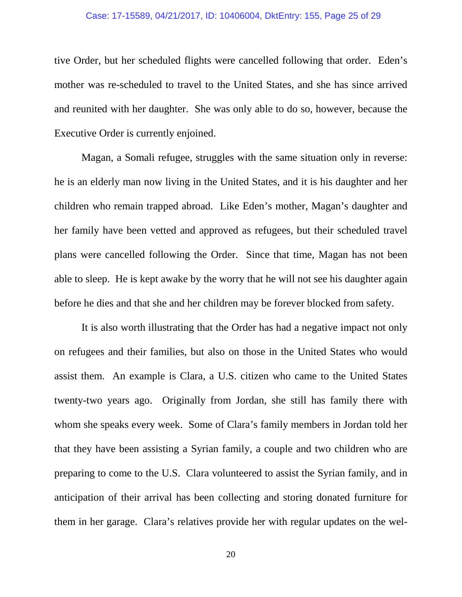#### Case: 17-15589, 04/21/2017, ID: 10406004, DktEntry: 155, Page 25 of 29

tive Order, but her scheduled flights were cancelled following that order. Eden's mother was re-scheduled to travel to the United States, and she has since arrived and reunited with her daughter. She was only able to do so, however, because the Executive Order is currently enjoined.

Magan, a Somali refugee, struggles with the same situation only in reverse: he is an elderly man now living in the United States, and it is his daughter and her children who remain trapped abroad. Like Eden's mother, Magan's daughter and her family have been vetted and approved as refugees, but their scheduled travel plans were cancelled following the Order. Since that time, Magan has not been able to sleep. He is kept awake by the worry that he will not see his daughter again before he dies and that she and her children may be forever blocked from safety.

It is also worth illustrating that the Order has had a negative impact not only on refugees and their families, but also on those in the United States who would assist them. An example is Clara, a U.S. citizen who came to the United States twenty-two years ago. Originally from Jordan, she still has family there with whom she speaks every week. Some of Clara's family members in Jordan told her that they have been assisting a Syrian family, a couple and two children who are preparing to come to the U.S. Clara volunteered to assist the Syrian family, and in anticipation of their arrival has been collecting and storing donated furniture for them in her garage. Clara's relatives provide her with regular updates on the wel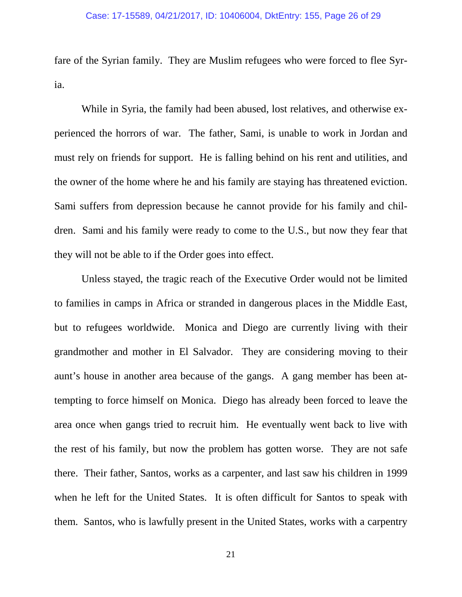fare of the Syrian family. They are Muslim refugees who were forced to flee Syria.

While in Syria, the family had been abused, lost relatives, and otherwise experienced the horrors of war. The father, Sami, is unable to work in Jordan and must rely on friends for support. He is falling behind on his rent and utilities, and the owner of the home where he and his family are staying has threatened eviction. Sami suffers from depression because he cannot provide for his family and children. Sami and his family were ready to come to the U.S., but now they fear that they will not be able to if the Order goes into effect.

Unless stayed, the tragic reach of the Executive Order would not be limited to families in camps in Africa or stranded in dangerous places in the Middle East, but to refugees worldwide. Monica and Diego are currently living with their grandmother and mother in El Salvador. They are considering moving to their aunt's house in another area because of the gangs. A gang member has been attempting to force himself on Monica. Diego has already been forced to leave the area once when gangs tried to recruit him. He eventually went back to live with the rest of his family, but now the problem has gotten worse. They are not safe there. Their father, Santos, works as a carpenter, and last saw his children in 1999 when he left for the United States. It is often difficult for Santos to speak with them. Santos, who is lawfully present in the United States, works with a carpentry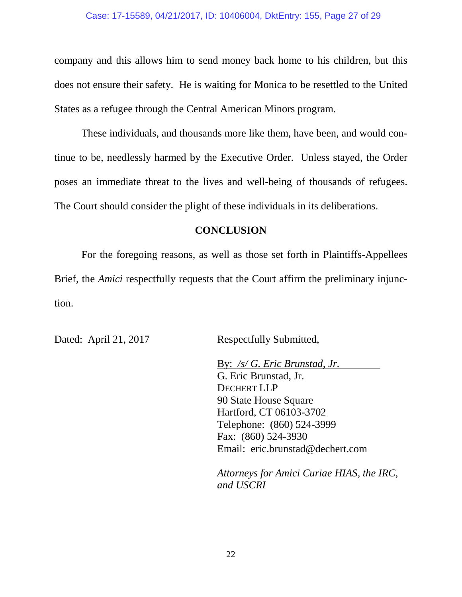company and this allows him to send money back home to his children, but this does not ensure their safety. He is waiting for Monica to be resettled to the United States as a refugee through the Central American Minors program.

These individuals, and thousands more like them, have been, and would continue to be, needlessly harmed by the Executive Order. Unless stayed, the Order poses an immediate threat to the lives and well-being of thousands of refugees. The Court should consider the plight of these individuals in its deliberations.

## **CONCLUSION**

For the foregoing reasons, as well as those set forth in Plaintiffs-Appellees Brief, the *Amici* respectfully requests that the Court affirm the preliminary injunction.

Dated: April 21, 2017 Respectfully Submitted,

By: */s/ G. Eric Brunstad, Jr.*  G. Eric Brunstad, Jr. DECHERT LLP 90 State House Square Hartford, CT 06103-3702 Telephone: (860) 524-3999 Fax: (860) 524-3930 Email: eric.brunstad@dechert.com

*Attorneys for Amici Curiae HIAS, the IRC, and USCRI*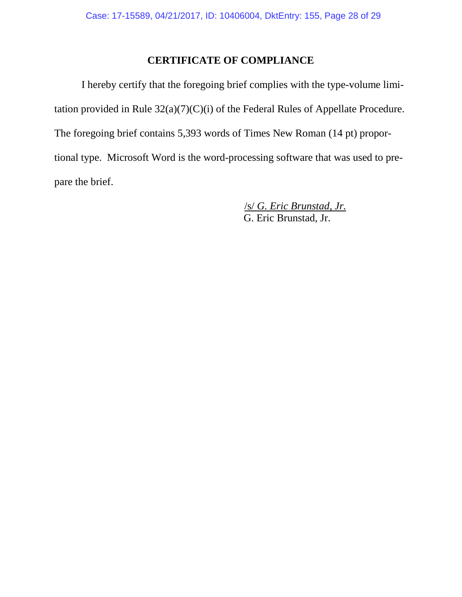# **CERTIFICATE OF COMPLIANCE**

I hereby certify that the foregoing brief complies with the type-volume limitation provided in Rule 32(a)(7)(C)(i) of the Federal Rules of Appellate Procedure. The foregoing brief contains 5,393 words of Times New Roman (14 pt) proportional type. Microsoft Word is the word-processing software that was used to prepare the brief.

> /s/ *G. Eric Brunstad, Jr.* G. Eric Brunstad, Jr.